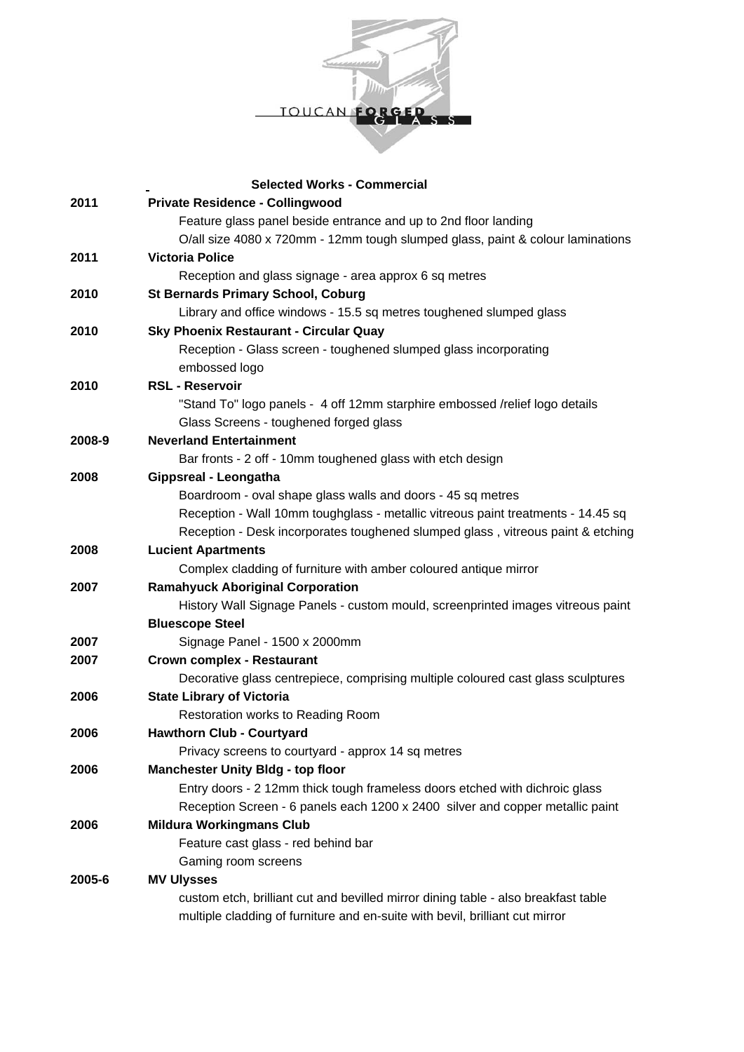

|        | <b>Selected Works - Commercial</b>                                                 |
|--------|------------------------------------------------------------------------------------|
| 2011   | <b>Private Residence - Collingwood</b>                                             |
|        | Feature glass panel beside entrance and up to 2nd floor landing                    |
|        | O/all size 4080 x 720mm - 12mm tough slumped glass, paint & colour laminations     |
| 2011   | <b>Victoria Police</b>                                                             |
|        | Reception and glass signage - area approx 6 sq metres                              |
| 2010   | <b>St Bernards Primary School, Coburg</b>                                          |
|        | Library and office windows - 15.5 sq metres toughened slumped glass                |
| 2010   | <b>Sky Phoenix Restaurant - Circular Quay</b>                                      |
|        | Reception - Glass screen - toughened slumped glass incorporating                   |
|        | embossed logo                                                                      |
| 2010   | <b>RSL - Reservoir</b>                                                             |
|        | "Stand To" logo panels - 4 off 12mm starphire embossed /relief logo details        |
|        | Glass Screens - toughened forged glass                                             |
| 2008-9 | <b>Neverland Entertainment</b>                                                     |
|        | Bar fronts - 2 off - 10mm toughened glass with etch design                         |
| 2008   | Gippsreal - Leongatha                                                              |
|        | Boardroom - oval shape glass walls and doors - 45 sq metres                        |
|        | Reception - Wall 10mm toughglass - metallic vitreous paint treatments - 14.45 sq   |
|        | Reception - Desk incorporates toughened slumped glass, vitreous paint & etching    |
| 2008   | <b>Lucient Apartments</b>                                                          |
|        | Complex cladding of furniture with amber coloured antique mirror                   |
| 2007   | <b>Ramahyuck Aboriginal Corporation</b>                                            |
|        | History Wall Signage Panels - custom mould, screenprinted images vitreous paint    |
|        | <b>Bluescope Steel</b>                                                             |
| 2007   | Signage Panel - 1500 x 2000mm                                                      |
| 2007   | <b>Crown complex - Restaurant</b>                                                  |
|        | Decorative glass centrepiece, comprising multiple coloured cast glass sculptures   |
| 2006   | <b>State Library of Victoria</b>                                                   |
|        | Restoration works to Reading Room                                                  |
| 2006   | <b>Hawthorn Club - Courtyard</b>                                                   |
|        | Privacy screens to courtyard - approx 14 sq metres                                 |
| 2006   | <b>Manchester Unity Bldg - top floor</b>                                           |
|        | Entry doors - 2 12mm thick tough frameless doors etched with dichroic glass        |
|        | Reception Screen - 6 panels each 1200 x 2400 silver and copper metallic paint      |
| 2006   | <b>Mildura Workingmans Club</b>                                                    |
|        | Feature cast glass - red behind bar                                                |
|        | Gaming room screens                                                                |
| 2005-6 | <b>MV Ulysses</b>                                                                  |
|        | custom etch, brilliant cut and bevilled mirror dining table - also breakfast table |
|        | multiple cladding of furniture and en-suite with bevil, brilliant cut mirror       |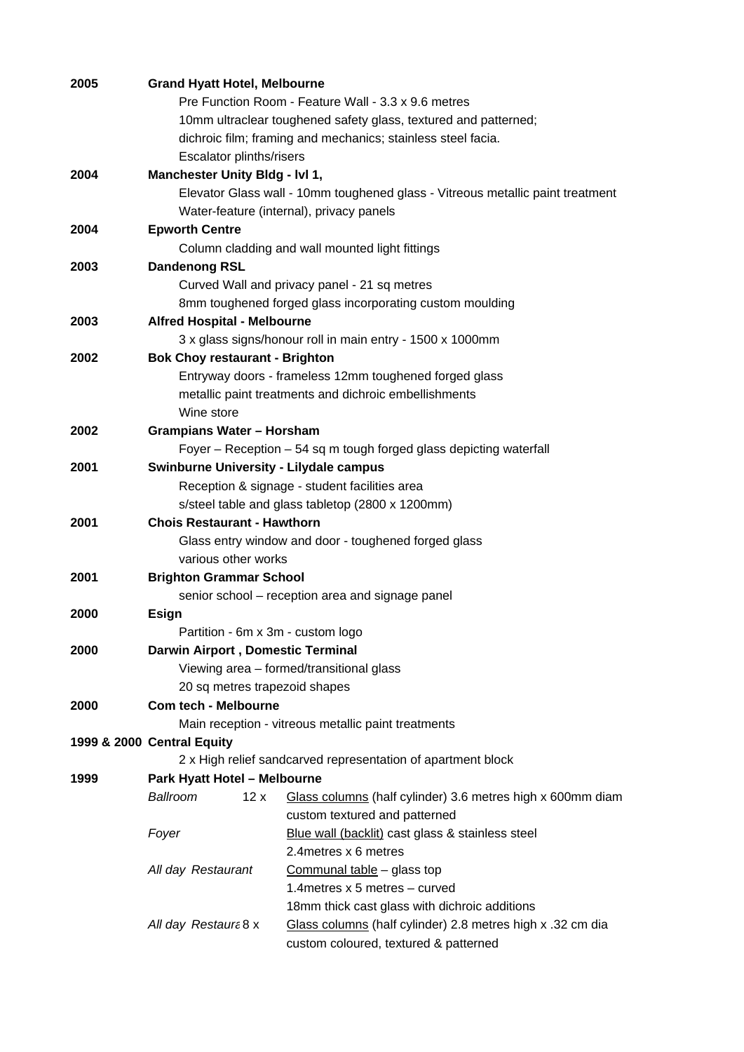| 2005 | <b>Grand Hyatt Hotel, Melbourne</b>                                            |                                                                 |  |  |
|------|--------------------------------------------------------------------------------|-----------------------------------------------------------------|--|--|
|      | Pre Function Room - Feature Wall - 3.3 x 9.6 metres                            |                                                                 |  |  |
|      |                                                                                | 10mm ultraclear toughened safety glass, textured and patterned; |  |  |
|      |                                                                                | dichroic film; framing and mechanics; stainless steel facia.    |  |  |
|      | Escalator plinths/risers                                                       |                                                                 |  |  |
| 2004 | Manchester Unity Bldg - IvI 1,                                                 |                                                                 |  |  |
|      | Elevator Glass wall - 10mm toughened glass - Vitreous metallic paint treatment |                                                                 |  |  |
|      |                                                                                | Water-feature (internal), privacy panels                        |  |  |
| 2004 | <b>Epworth Centre</b>                                                          |                                                                 |  |  |
|      |                                                                                | Column cladding and wall mounted light fittings                 |  |  |
| 2003 | <b>Dandenong RSL</b>                                                           |                                                                 |  |  |
|      | Curved Wall and privacy panel - 21 sq metres                                   |                                                                 |  |  |
|      |                                                                                | 8mm toughened forged glass incorporating custom moulding        |  |  |
| 2003 | <b>Alfred Hospital - Melbourne</b>                                             |                                                                 |  |  |
|      |                                                                                | 3 x glass signs/honour roll in main entry - 1500 x 1000mm       |  |  |
| 2002 | <b>Bok Choy restaurant - Brighton</b>                                          |                                                                 |  |  |
|      | Entryway doors - frameless 12mm toughened forged glass                         |                                                                 |  |  |
|      | metallic paint treatments and dichroic embellishments                          |                                                                 |  |  |
|      | Wine store                                                                     |                                                                 |  |  |
| 2002 | <b>Grampians Water - Horsham</b>                                               |                                                                 |  |  |
|      | Foyer – Reception – 54 sq m tough forged glass depicting waterfall             |                                                                 |  |  |
| 2001 | <b>Swinburne University - Lilydale campus</b>                                  |                                                                 |  |  |
|      | Reception & signage - student facilities area                                  |                                                                 |  |  |
|      | s/steel table and glass tabletop (2800 x 1200mm)                               |                                                                 |  |  |
| 2001 | <b>Chois Restaurant - Hawthorn</b>                                             |                                                                 |  |  |
|      | Glass entry window and door - toughened forged glass                           |                                                                 |  |  |
|      | various other works                                                            |                                                                 |  |  |
| 2001 | <b>Brighton Grammar School</b>                                                 |                                                                 |  |  |
|      | senior school - reception area and signage panel                               |                                                                 |  |  |
| 2000 | <b>Esign</b>                                                                   |                                                                 |  |  |
|      | Partition - 6m x 3m - custom logo                                              |                                                                 |  |  |
| 2000 | <b>Darwin Airport, Domestic Terminal</b>                                       |                                                                 |  |  |
|      | Viewing area - formed/transitional glass                                       |                                                                 |  |  |
|      | 20 sq metres trapezoid shapes                                                  |                                                                 |  |  |
| 2000 | <b>Com tech - Melbourne</b>                                                    |                                                                 |  |  |
|      |                                                                                | Main reception - vitreous metallic paint treatments             |  |  |
|      | 1999 & 2000 Central Equity                                                     |                                                                 |  |  |
|      |                                                                                | 2 x High relief sandcarved representation of apartment block    |  |  |
| 1999 | <b>Park Hyatt Hotel - Melbourne</b>                                            |                                                                 |  |  |
|      | Ballroom<br>12x                                                                | Glass columns (half cylinder) 3.6 metres high x 600mm diam      |  |  |
|      |                                                                                | custom textured and patterned                                   |  |  |
|      | Foyer                                                                          | Blue wall (backlit) cast glass & stainless steel                |  |  |
|      |                                                                                | 2.4 metres x 6 metres                                           |  |  |
|      | All day Restaurant                                                             |                                                                 |  |  |
|      |                                                                                | Communal table - glass top<br>1.4 metres x 5 metres - curved    |  |  |
|      |                                                                                |                                                                 |  |  |
|      |                                                                                | 18mm thick cast glass with dichroic additions                   |  |  |
|      | All day Restaurt 8 x                                                           | Glass columns (half cylinder) 2.8 metres high x .32 cm dia      |  |  |
|      |                                                                                | custom coloured, textured & patterned                           |  |  |